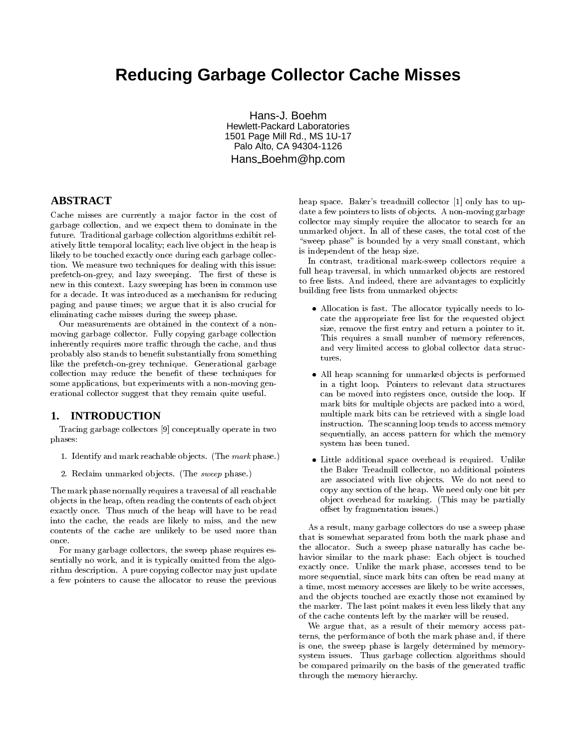# **Reducing Garbage Collector Cache Misses**

Hans-J. Boehm Hewlett-Packard Laboratories 1501 Page Mill Rd., MS 1U-17 Palo Alto, CA 94304-1126 Hans Boehm@hp.com

# **ABSTRACT**

Cache misses are currently a major factor in the cost of garbage collection, and we expect them to dominate in the future. Traditional garbage collection algorithms exhibit relatively little temporal locality; each live ob ject in the heap is likely to be touched exactly once during each garbage collection. We measure two techniques for dealing with this issue: prefetch-on-grey, and lazy sweeping. The first of these is new in this context. Lazy sweeping has been in common use for a decade. It was introduced as a mechanism for reducing paging and pause times; we argue that it is also crucial for eliminating cache misses during the sweep phase.

Our measurements are obtained in the context of a non moving garbage collector. Fully copying garbage collection inherently requires more traffic through the cache, and thus probably also stands to benefit substantially from something like the prefetch-on-grey technique. Generational garbage collection may reduce the benet of these techniques for some applications, but experiments with a non-moving generational collector suggest that they remain quite useful.

## **1. INTRODUCTION**

Tracing garbage collectors [9] conceptually operate in two phases:

- 1. Identify and mark reachable objects. (The  $mark$  phase.)
- 2. Reclaim unmarked ob jects. (The sweep phase.)

The mark phase normally requires a traversal of all reachable ob jects in the heap, often reading the contents of each ob ject exactly once. Thus much of the heap will have to be read into the cache, the reads are likely to miss, and the new contents of the cache are unlikely to be used more than once.

For many garbage collectors, the sweep phase requires es sentially no work, and it is typically omitted from the algorithm description. A pure copying collector may just update a few pointers to cause the allocator to reuse the previous heap space. Baker's treadmill collector [1] only has to update a few pointers to lists of objects. A non-moving garbage collector may simply require the allocator to search for an unmarked ob ject. In all of these cases, the total cost of the "sweep phase" is bounded by a very small constant, which is independent of the heap size.

In contrast, traditional mark-sweep collectors require a full heap traversal, in which unmarked objects are restored to free lists. And indeed, there are advantages to explicitly building free lists from unmarked objects:

- Allocation is fast. The allocator typically needs to locate the appropriate free list for the requested ob ject size, remove the first entry and return a pointer to it. This requires a small number of memory references, and very limited access to global collector data structures.
- All heap scanning for unmarked ob jects is performed in a tight loop. Pointers to relevant data structures can be moved into registers once, outside the loop. If mark bits for multiple ob jects are packed into a word, multiple mark bits can be retrieved with a single load instruction. The scanning loop tends to access memory sequentially, an access pattern for which the memory system has been tuned.
- Little additional space overhead is required. Unlike the Baker Treadmill collector, no additional pointers are associated with live objects. We do not need to copy any section of the heap. We need only one bit per ob ject overhead for marking. (This may be partially offset by fragmentation issues.)

As a result, many garbage collectors do use a sweep phase that is somewhat separated from both the mark phase and the allocator. Such a sweep phase naturally has cache behavior similar to the mark phase: Each object is touched exactly once. Unlike the mark phase, accesses tend to be more sequential, since mark bits can often be read many at a time, most memory accesses are likely to be write accesses, and the ob jects touched are exactly those not examined by the marker. The last point makes it even less likely that any of the cache contents left by the marker will be reused.

We argue that, as a result of their memory access patterns, the performance of both the mark phase and, if there is one, the sweep phase is largely determined by memorysystem issues. Thus garbage collection algorithms should be compared primarily on the basis of the generated traffic through the memory hierarchy.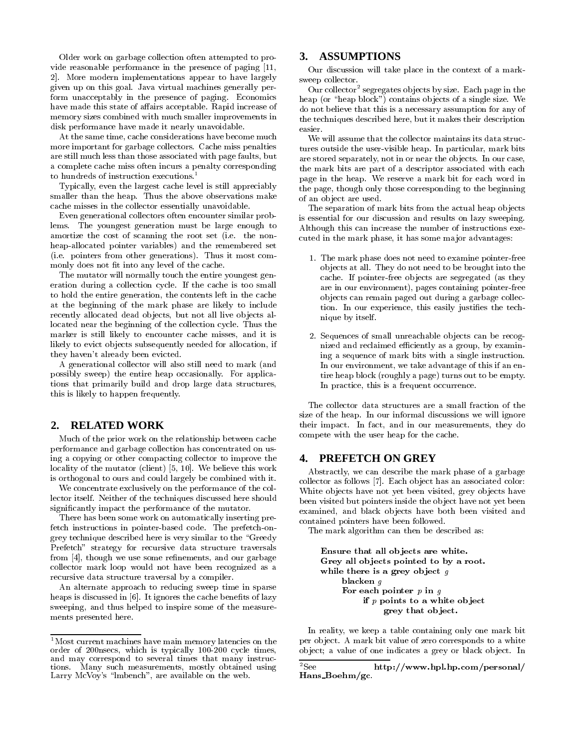Older work on garbage collection often attempted to provide reasonable performance in the presence of paging [11, 2]. More modern implementations appear to have largely given up on this goal. Java virtual machines generally perform unacceptably in the presence of paging. Economics have made this state of affairs acceptable. Rapid increase of memory sizes combined with much smaller improvements in disk performance have made it nearly unavoidable.

At the same time, cache considerations have become much more important for garbage collectors. Cache miss penalties are still much less than those associated with page faults, but a complete cache miss often incurs a penalty corresponding to hundreds of instruction executions.<sup>1</sup>

Typically, even the largest cache level is still appreciably smaller than the heap. Thus the above observations make cache misses in the collector essentially unavoidable.

Even generational collectors often encounter similar problems. The youngest generation must be large enough to amortize the cost of scanning the root set (i.e. the non heap-allocated pointer variables) and the remembered set (i.e. pointers from other generations). Thus it most commonly does not fit into any level of the cache.

The mutator will normally touch the entire youngest generation during a collection cycle. If the cache is too small to hold the entire generation, the contents left in the cache at the beginning of the mark phase are likely to include recently allocated dead objects, but not all live objects allocated near the beginning of the collection cycle. Thus the marker is still likely to encounter cache misses, and it is likely to evict objects subsequently needed for allocation, if they haven't already been evicted.

A generational collector will also still need to mark (and possibly sweep) the entire heap occasionally. For applications that primarily build and drop large data structures, this is likely to happen frequently.

#### **2. RELATED WORK**

Much of the prior work on the relationship between cache performance and garbage collection has concentrated on using a copying or other compacting collector to improve the 4. locality of the mutator (client) [5, 10]. We believe this work is orthogonal to ours and could largely be combined with it.

We concentrate exclusively on the performance of the collector itself. Neither of the techniques discussed here should signicantly impact the performance of the mutator.

There has been some work on automatically inserting prefetch instructions in pointer-based code. The prefetch-ongrey technique described here is very similar to the \Greedy Prefetch" strategy for recursive data structure traversals from [4], though we use some refinements, and our garbage collector mark loop would not have been recognized as a recursive data structure traversal by a compiler.

An alternate approach to reducing sweep time in sparse heaps is discussed in [6]. It ignores the cache benefits of lazy sweeping, and thus helped to inspire some of the measure ments presented here.

## **3. ASSUMPTIONS**

Our discussion will take place in the context of a mark sweep collector.

Our collector<sup>2</sup> segregates ob jects by size. Each page in the heap (or "heap block") contains objects of a single size. We do not believe that this is a necessary assumption for any of the techniques described here, but it makes their description easier.

We will assume that the collector maintains its data structures outside the user-visible heap. In particular, mark bits are stored separately, not in or near the ob jects. In our case, the mark bits are part of a descriptor associated with each page in the heap. We reserve a mark bit for each word in the page, though only those corresponding to the beginning of an ob ject are used.

The separation of mark bits from the actual heap objects is essential for our discussion and results on lazy sweeping. Although this can increase the number of instructions executed in the mark phase, it has some ma jor advantages:

- 1. The mark phase does not need to examine pointer-free ob jects at all. They do not need to be brought into the cache. If pointer-free ob jects are segregated (as they are in our environment), pages containing pointer-free ob jects can remain paged out during a garbage collection. In our experience, this easily justifies the technique by itself.
- 2. Sequences of small unreachable ob jects can be recognized and reclaimed efficiently as a group, by examining a sequence of mark bits with a single instruction. In our environment, we take advantage of this if an entire heap block (roughly a page) turns out to be empty. In practice, this is a frequent occurrence.

The collector data structures are a small fraction of the size of the heap. In our informal discussions we will ignore their impact. In fact, and in our measurements, they do compete with the user heap for the cache.

#### **4. PREFETCH ON GREY**

Abstractly, we can describe the mark phase of a garbage collector as follows [7]. Each ob ject has an associated color: White objects have not yet been visited, grey objects have been visited but pointers inside the ob ject have not yet been examined, and black ob jects have both been visited and contained pointers have been followed.

The mark algorithm can then be described as:

Ensure that all objects are white. Grey all objects pointed to by a root. while there is a grey object  $g$ blacken g For each pointer  $p$  in  $q$ if  $p$  points to a white object grey that object.

In reality, we keep a table containing only one mark bit per ob ject. A mark bit value of zero corresponds to a white object; a value of one indicates a grey or black object. In

<sup>&</sup>lt;sup>1</sup>Most current machines have main memory latencies on the order of 200nsecs, which is typically 100-200 cycle times, and may correspond to several times that many instrucand may correspond to server the contract of the state of the distributions. Many such measurements, mostly obtained using  $2$ See Larry McVoy's "lmbench", are available on the web.

http://www.hpl.hp.com/personal/ Hans Boehm/gc.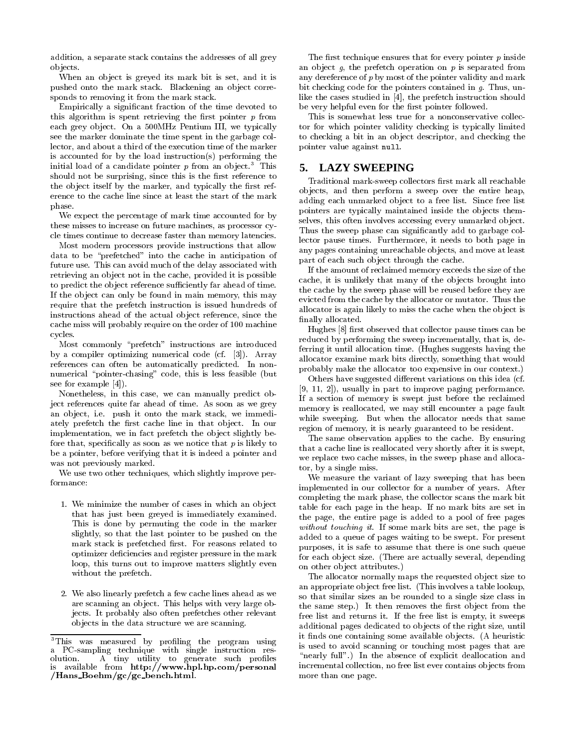addition, a separate stack contains the addresses of all grey ob jects.

When an ob ject is greyed its mark bit is set, and it is pushed onto the mark stack. Blackening an object corresponds to removing it from the mark stack.

Empirically a signicant fraction of the time devoted to this algorithm is spent retrieving the first pointer  $p$  from each grey ob ject. On a 500MHz Pentium III, we typically see the marker dominate the time spent in the garbage collector, and about a third of the execution time of the marker is accounted for by the load instruction(s) performing the initial load of a candidate pointer  $p$  from an object.<sup>3</sup> This  $\overline{\mathbf{5}}$ . should not be surprising, since this is the first reference to the object itself by the marker, and typically the first reference to the cache line since at least the start of the mark phase.

We expect the percentage of mark time accounted for by these misses to increase on future machines, as processor cycle times continue to decrease faster than memory latencies.

Most modern processors provide instructions that allow data to be "prefetched" into the cache in anticipation of future use. This can avoid much of the delay associated with retrieving an ob ject not in the cache, provided it is possible to predict the object reference sufficiently far ahead of time. If the ob ject can only be found in main memory, this may require that the prefetch instruction is issued hundreds of instructions ahead of the actual ob ject reference, since the cache miss will probably require on the order of 100 machine cycles.

Most commonly "prefetch" instructions are introduced by a compiler optimizing numerical code (cf. [3]). Array references can often be automatically predicted. In non numerical "pointer-chasing" code, this is less feasible (but see for example [4]).

Nonetheless, in this case, we can manually predict object references quite far ahead of time. As soon as we grey an ob ject, i.e. push it onto the mark stack, we immediately prefetch the first cache line in that object. In our implementation, we in fact prefetch the ob ject slightly before that, specifically as soon as we notice that  $p$  is likely to be a pointer, before verifying that it is indeed a pointer and was not previously marked.

We use two other techniques, which slightly improve performance:

- 1. We minimize the number of cases in which an ob ject that has just been greyed is immediately examined. This is done by permuting the code in the marker slightly, so that the last pointer to be pushed on the mark stack is prefetched first. For reasons related to optimizer deficiencies and register pressure in the mark loop, this turns out to improve matters slightly even without the prefetch.
- 2. We also linearly prefetch a few cache lines ahead as we are scanning an ob ject. This helps with very large objects. It probably also often prefetches other relevant ob jects in the data structure we are scanning.

The first technique ensures that for every pointer  $p$  inside an object  $g$ , the prefetch operation on  $p$  is separated from any dereference of  $p$  by most of the pointer validity and mark bit checking code for the pointers contained in g. Thus, unlike the cases studied in [4], the prefetch instruction should be very helpful even for the first pointer followed.

This is somewhat less true for a nonconservative collector for which pointer validity checking is typically limited to checking a bit in an ob ject descriptor, and checking the pointer value against null.

## **5. LAZY SWEEPING**

Traditional mark-sweep collectors first mark all reachable ob jects, and then perform a sweep over the entire heap, adding each unmarked object to a free list. Since free list pointers are typically maintained inside the objects themselves, this often involves accessing every unmarked ob ject. Thus the sweep phase can signicantly add to garbage collector pause times. Furthermore, it needs to both page in any pages containing unreachable ob jects, and move at least part of each such object through the cache.

If the amount of reclaimed memory exceeds the size of the cache, it is unlikely that many of the ob jects brought into the cache by the sweep phase will be reused before they are evicted from the cache by the allocator or mutator. Thus the allocator is again likely to miss the cache when the ob ject is finally allocated.

Hughes [8] first observed that collector pause times can be reduced by performing the sweep incrementally, that is, deferring it until allocation time. (Hughes suggests having the allocator examine mark bits directly, something that would probably make the allocator too expensive in our context.)

Others have suggested different variations on this idea (cf. [9, 11, 2]), usually in part to improve paging performance. If a section of memory is swept just before the reclaimed memory is reallocated, we may still encounter a page fault while sweeping. But when the allocator needs that same region of memory, it is nearly guaranteed to be resident.

The same observation applies to the cache. By ensuring that a cache line is reallocated very shortly after it is swept, we replace two cache misses, in the sweep phase and allocator, by a single miss.

We measure the variant of lazy sweeping that has been implemented in our collector for a number of years. After completing the mark phase, the collector scans the mark bit table for each page in the heap. If no mark bits are set in the page, the entire page is added to a pool of free pages without touching it. If some mark bits are set, the page is added to a queue of pages waiting to be swept. For present purposes, it is safe to assume that there is one such queue for each ob ject size. (There are actually several, depending on other ob ject attributes.)

The allocator normally maps the requested ob ject size to an appropriate ob ject free list. (This involves a table lookup, so that similar sizes an be rounded to a single size class in the same step.) It then removes the first object from the free list and returns it. If the free list is empty, it sweeps additional pages dedicated to ob jects of the right size, until it finds one containing some available objects. (A heuristic is used to avoid scanning or touching most pages that are "nearly full".) In the absence of explicit deallocation and incremental collection, no free list ever contains ob jects from more than one page.

<sup>&</sup>lt;sup>3</sup>This was measured by profiling the program using a PC-sampling technique with single instruction res olution. A tiny utility to generate such problems  $\mathbf{A}$  to generate such problems  $\mathbf{P}$ is available from http://www.hpl.hp.com/personal /Hans Boehm/gc/gc bench.html.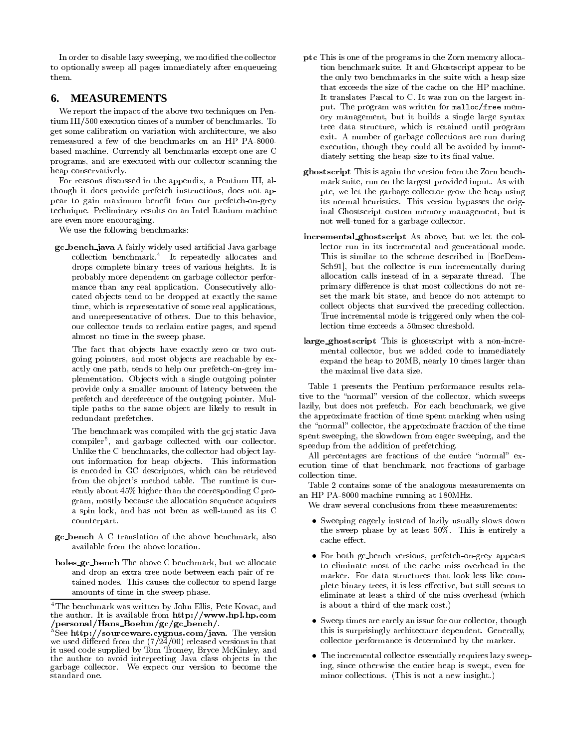In order to disable lazy sweeping, we modied the collector to optionally sweep all pages immediately after enqueueing them.

# **6. MEASUREMENTS**

We report the impact of the above two techniques on Pen tium III/500 execution times of a number of benchmarks. To get some calibration on variation with architecture, we also remeasured a few of the benchmarks on an HP PA-8000 based machine. Currently all benchmarks except one are C programs, and are executed with our collector scanning the heap conservatively.

For reasons discussed in the appendix, a Pentium III, although it does provide prefetch instructions, does not appear to gain maximum benefit from our prefetch-on-grey technique. Preliminary results on an Intel Itanium machine are even more encouraging.

We use the following benchmarks:

gc bench java A fairly widely used articial Java garbage collection benchmark.4 It repeatedly allocates and drops complete binary trees of various heights. It is probably more dependent on garbage collector performance than any real application. Consecutively allocated ob jects tend to be dropped at exactly the same time, which is representative of some real applications, and unrepresentative of others. Due to this behavior, our collector tends to reclaim entire pages, and spend almost no time in the sweep phase.

The fact that objects have exactly zero or two outgoing pointers, and most ob jects are reachable by exactly one path, tends to help our prefetch-on-grey implementation. Ob jects with a single outgoing pointer provide only a smaller amount of latency between the prefetch and dereference of the outgoing pointer. Multiple paths to the same ob ject are likely to result in redundant prefetches.

The benchmark was compiled with the gcj static Java compiler5 , and garbage collected with our collector. Unlike the C benchmarks, the collector had ob ject layout information for heap ob jects. This information is encoded in GC descriptors, which can be retrieved from the ob ject's method table. The runtime is cur rently about 45% higher than the corresponding C program, mostly because the allocation sequence acquires a spin lock, and has not been as well-tuned as its C counterpart.

- gc bench A C translation of the above benchmark, also available from the above location.
- holes\_gc\_bench The above C benchmark, but we allocate and drop an extra tree node between each pair of retained nodes. This causes the collector to spend large amounts of time in the sweep phase.
- ptc This is one of the programs in the Zorn memory allocation benchmark suite. It and Ghostscript appear to be the only two benchmarks in the suite with a heap size that exceeds the size of the cache on the HP machine. It translates Pascal to C. It was run on the largest input. The program was written for malloc/free mem ory management, but it builds a single large syntax tree data structure, which is retained until program exit. A number of garbage collections are run during execution, though they could all be avoided by immediately setting the heap size to its final value.
- ghostscript This is again the version from the Zorn benchmark suite, run on the largest provided input. As with ptc, we let the garbage collector grow the heap using its normal heuristics. This version bypasses the original Ghostscript custom memory management, but is not well-tuned for a garbage collector.
- incremental ghostscript As above, but we let the collector run in its incremental and generational mode. This is similar to the scheme described in [BoeDem-Sch91], but the collector is run incrementally during allocation calls instead of in a separate thread. The primary difference is that most collections do not reset the mark bit state, and hence do not attempt to collect ob jects that survived the preceding collection. True incremental mode is triggered only when the collection time exceeds a 50msec threshold.
- large ghostscript This is ghostscript with <sup>a</sup> non-incremental collector, but we added code to immediately expand the heap to 20MB, nearly 10 times larger than the maximal live data size.

Table 1 presents the Pentium performance results relative to the "normal" version of the collector, which sweeps lazily, but does not prefetch. For each benchmark, we give the approximate fraction of time spent marking when using the "normal" collector, the approximate fraction of the time spent sweeping, the slowdown from eager sweeping, and the speedup from the addition of prefetching.

All percentages are fractions of the entire "normal" execution time of that benchmark, not fractions of garbage

Table 2 contains some of the analogous measurements on an HP PA-8000 machine running at 180MHz.

We draw several conclusions from these measurements:

- Sweeping eagerly instead of lazily usually slows down the sweep phase by at least 50%. This is entirely a cache effect.
- For both gc bench versions, prefetch-on-grey appears to eliminate most of the cache miss overhead in the marker. For data structures that look less like com plete binary trees, it is less effective, but still seems to eliminate at least a third of the miss overhead (which is about a third of the mark cost.)
- Sweep times are rarely an issue for our collector, though this is surprisingly architecture dependent. Generally, collector performance is determined by the marker.
- The incremental collector essentially requires lazy sweeping, since otherwise the entire heap is swept, even for minor collections. (This is not a new insight.)

<sup>4</sup>The benchmark was written by John Ellis, Pete Kovac, and the author. It is available from http://www.hpl.hp.com /personal/Hans\_Boehm/gc/gc\_bench/.

See http://sourceware.cygnus.com/java. The version we used differed from the  $(7/24/00)$  released versions in that it used code supplied by Tom Tromey, Bryce McKinley, and the author to avoid interpreting Java class ob jects in the garbage collector. We expect our version to become the standard one.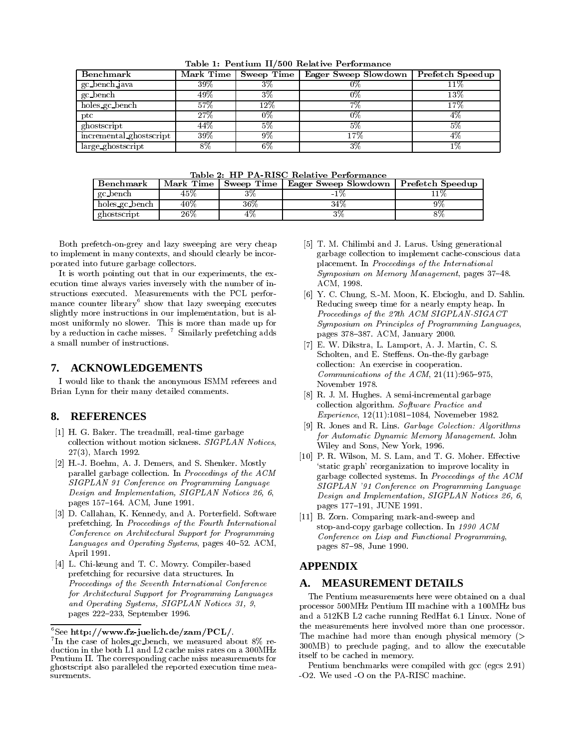| Table 1: Pentium II/500 Relative Performance |  |  |  |
|----------------------------------------------|--|--|--|
|----------------------------------------------|--|--|--|

| Benchmark               | Mark Time |     | Sweep Time   Eager Sweep Slowdown   Prefetch Speedup |        |
|-------------------------|-----------|-----|------------------------------------------------------|--------|
| gc_bench_java           | 39%       | 3%  | 0%                                                   | $11\%$ |
| gc_bench                | 49%       | 3%  | 0%                                                   | $13\%$ |
| holes_gc_bench          | 57%       | 12% | 7%                                                   | $17\%$ |
| ptc.                    | 27%       | 0%  | 0%                                                   | 4%     |
| ghostscript             | 44%       | 5%  | 5%                                                   | 5%     |
| incremental ghostscript | 39%       | 9%  | .7%                                                  | 4%     |
| large_ghostscript       | 8%        | 6%  | 3%                                                   | 1%     |

| Benchmark      | Mark Time |     | Sweep Time   Eager Sweep Slowdown   Prefetch Speedup |  |
|----------------|-----------|-----|------------------------------------------------------|--|
| gc_bench       | 45%       |     |                                                      |  |
| holes_gc_bench | $40\%$    | 36% | 34%                                                  |  |
| ghostscript    | 26%       |     |                                                      |  |

Both prefetch-on-grey and lazy sweeping are very cheap to implement in many contexts, and should clearly be incorporated into future garbage collectors.

It is worth pointing out that in our experiments, the execution time always varies inversely with the number of instructions executed. Measurements with the PCL perfor mance counter library'show that lazy sweeping executes slightly more instructions in our implementation, but is almost uniformly no slower. This is more than made up for by a reduction in cache misses. <sup>7</sup> Similarly prefetching adds a small number of instructions.

#### **7. ACKNOWLEDGEMENTS**

I would like to thank the anonymous ISMM referees and Brian Lynn for their many detailed comments.

## **8. REFERENCES**

- [1] H. G. Baker. The treadmill, real-time garbage collection without motion sickness. SIGPLAN Notices, 27(3), March 1992.
- [2] H.-J. Boehm, A. J. Demers, and S. Shenker. Mostly parallel garbage collection. In Proceedings of the ACM SIGPLAN 91 Conference on Programming Language Design and Implementation, SIGPLAN Notices 26, 6, pages 157-164. ACM, June 1991.
- [3] D. Callahan, K. Kennedy, and A. Porterfield. Software prefetching. In Proceedings of the Fourth International Conference on Architectural Support for Programming Languages and Operating Systems, pages 40-52. ACM, April 1991.
- [4] L. Chi-keung and T. C. Mowry. Compiler-based prefetching for recursive data structures. In Proceedings of the Seventh International Conference for Architectural Support for Programming Languages and Operating Systems, SIGPLAN Notices 31, 9, pages 222-233, September 1996.
- [5] T. M. Chilimbi and J. Larus. Using generational garbage collection to implement cache-conscious data placement. In Proceedings of the International Symposium on Memory Management, pages 37-48. ACM, 1998.
- [6] Y. C. Chung, S.-M. Moon, K. Ebcioglu, and D. Sahlin. Reducing sweep time for a nearly empty heap. In Proceedings of the 27th ACM SIGPLAN-SIGACT Symposium on Principles of Programming Languages, pages 378-387. ACM, January 2000.
- [7] E. W. Dikstra, L. Lamport, A. J. Martin, C. S. Scholten, and E. Steffens. On-the-fly garbage collection: An exercise in cooperation. Communications of the  $ACM$ ,  $21(11):965-975$ , November 1978.
- [8] R. J. M. Hughes. A semi-incremental garbage collection algorithm. Software Practice and Experience, 12(11):1081-1084, Novemeber 1982.
- [9] R. Jones and R. Lins. Garbage Colection: Algorithms for Automatic Dynamic Memory Management. John Wiley and Sons, New York, 1996.
- [10] P. R. Wilson, M. S. Lam, and T. G. Moher. Effective `static graph' reorganization to improve locality in garbage collected systems. In Proceedings of the ACM SIGPLAN '91 Conference on Programming Language Design and Implementation, SIGPLAN Notices 26, 6, pages 177-191, JUNE 1991.
- [11] B. Zorn. Comparing mark-and-sweep and stop-and-copy garbage collection. In 1990 ACM Conference on Lisp and Functional Programming, pages 87-98, June 1990.

# **APPENDIX**

#### **A. MEASUREMENT DETAILS**

The Pentium measurements here were obtained on a dual processor 500MHz Pentium III machine with a 100MHz bus and a 512KB L2 cache running RedHat 6.1 Linux. None of the measurements here involved more than one processor. The machine had more than enough physical memory (> 300MB) to preclude paging, and to allow the executable itself to be cached in memory.

Pentium benchmarks were compiled with gcc (egcs 2.91) -O2. We used -O on the PA-RISC machine.

 $6$ See http://www.fz-juelich.de/zam/PCL/.

<sup>7</sup> In the case of holes gc bench, we measured about 8% reduction in the both L1 and L2 cache miss rates on a 300MHz Pentium II. The corresponding cache miss measurements for ghostscript also paralleled the reported execution time mea surements.